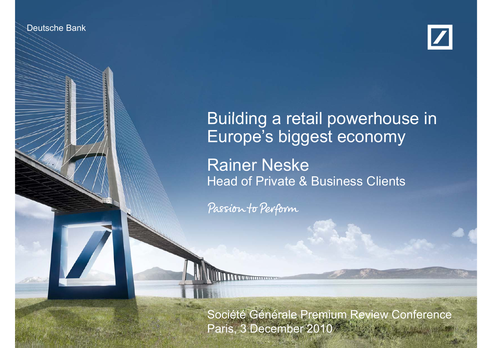

Deutsche Bank Bank Bank Investor Relations



## Building <sup>a</sup> retail powerhouse in in Europe's biggest economy

Rainer Neske Head of Private & Business Clients

Passion to Perform

Rainer Neske  $3 - 3 - 2$ 

Paris, 3 December 2010 and the state of the  $\sim$ Société Générale Premium Review Conference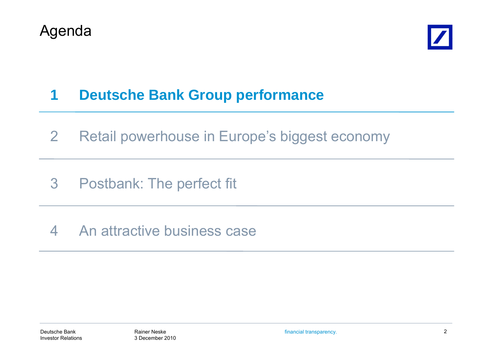



#### **1Deutsche Bank Group performance**

- 2Retail powerhouse in Europe's biggest economy
- 3 Postbank: The perfect fit
- 4 An attractive business case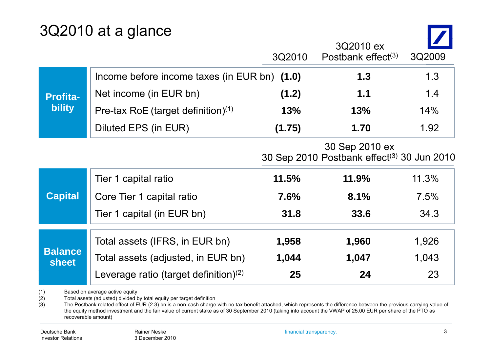## 3Q2010 at a glance

|                                  |                                                | 3Q2010 | 3Q2010 ex<br>Postbank effect $(3)$                                       | 3Q2009 |
|----------------------------------|------------------------------------------------|--------|--------------------------------------------------------------------------|--------|
| <b>Profita-</b><br><b>bility</b> | Income before income taxes (in EUR bn) (1.0)   |        | 1.3                                                                      | 1.3    |
|                                  | Net income (in EUR bn)                         | (1.2)  | 1.1                                                                      | 1.4    |
|                                  | Pre-tax RoE (target definition) <sup>(1)</sup> | 13%    | 13%                                                                      | 14%    |
|                                  | Diluted EPS (in EUR)                           | (1.75) | 1.70                                                                     | 1.92   |
|                                  |                                                |        | 30 Sep 2010 ex<br>30 Sep 2010 Postbank effect <sup>(3)</sup> 30 Jun 2010 |        |
|                                  | Tier 1 capital ratio                           | 11.5%  | 11.9%                                                                    | 11.3%  |
| <b>Capital</b>                   | Core Tier 1 capital ratio                      | 7.6%   | 8.1%                                                                     | 7.5%   |
|                                  | Tier 1 capital (in EUR bn)                     | 31.8   | 33.6                                                                     | 34.3   |
| <b>Balance</b><br><b>sheet</b>   | Total assets (IFRS, in EUR bn)                 | 1,958  | 1,960                                                                    | 1,926  |
|                                  | Total assets (adjusted, in EUR bn)             | 1,044  | 1,047                                                                    | 1,043  |
|                                  | Leverage ratio (target definition) $(2)$       | 25     | 24                                                                       | 23     |

(1) Based on average active equity<br>(2) Total assets (adjusted) divided b

(2) Total assets (adjusted) divided by total equity per target definition (3) The Postbank related effect of EUR  $(2.3)$  bn is a non-cash charge

The Postbank related effect of EUR (2.3) bn is a non-cash charge with no tax benefit attached, which represents the difference between the previous carrying value of the equity method investment and the fair value of current stake as of 30 September 2010 (taking into account the VWAP of 25.00 EUR per share of the PTO as recoverable amount)

 $\overline{\phantom{a}}$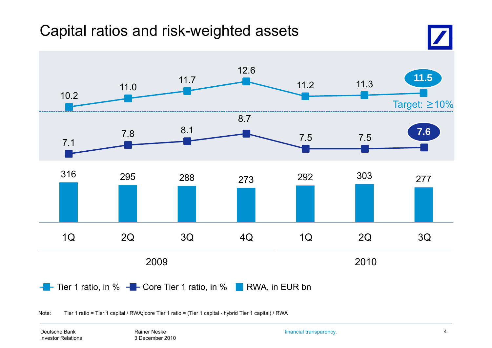## Capital ratios and risk-weighted assets



Note: Tier 1 ratio = Tier 1 capital / RWA; core Tier 1 ratio = (Tier 1 capital - hybrid Tier 1 capital) / RWA

Deutsche BankInvestor Relations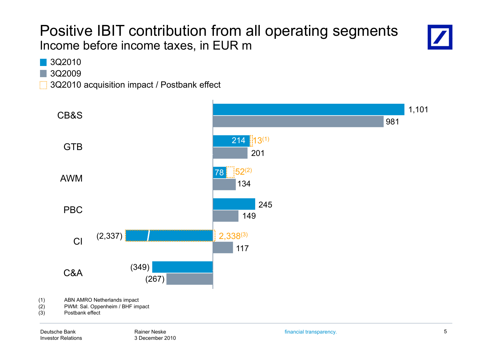### Positive IBIT contribution from all operating segments Income before income taxes, in EUR m



3Q2010

3Q2009

3Q2010 acquisition impact / Postbank effect

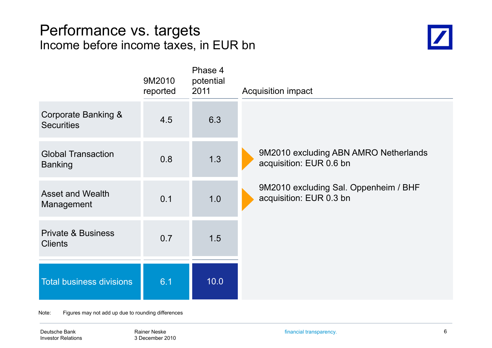#### Performance vs. targets Income before income taxes, in EUR bn



|                                                 | 9M2010<br>reported | Phase 4<br>potential<br>2011 | <b>Acquisition impact</b>                                        |
|-------------------------------------------------|--------------------|------------------------------|------------------------------------------------------------------|
| Corporate Banking &<br><b>Securities</b>        | 4.5                | 6.3                          |                                                                  |
| <b>Global Transaction</b><br><b>Banking</b>     | 0.8                | 1.3                          | 9M2010 excluding ABN AMRO Netherlands<br>acquisition: EUR 0.6 bn |
| <b>Asset and Wealth</b><br>Management           | 0.1                | 1.0                          | 9M2010 excluding Sal. Oppenheim / BHF<br>acquisition: EUR 0.3 bn |
| <b>Private &amp; Business</b><br><b>Clients</b> | 0.7                | 1.5                          |                                                                  |
| <b>Total business divisions</b>                 | 6.1                | 10.0                         |                                                                  |

Note: Figures may not add up due to rounding differences

Deutsche Bank Investor Relations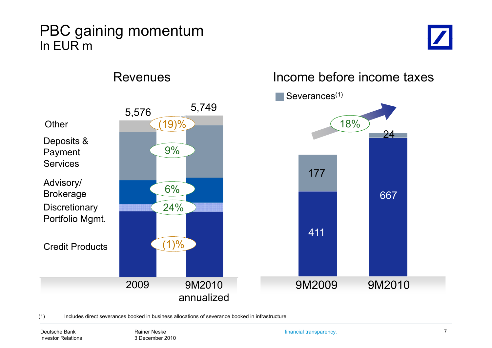#### PBC gaining momentum In EUR m





(1) Includes direct severances booked in business allocations of severance booked in infrastructure

Deutsche BankInvestor Relations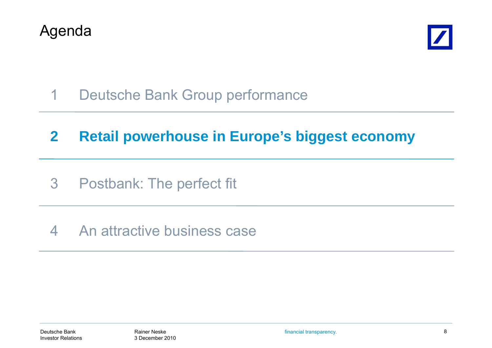



1Deutsche Bank Group performance

#### **2Retail powerhouse in Europe's biggest economy**

- 3 Postbank: The perfect fit
- 4 An attractive business case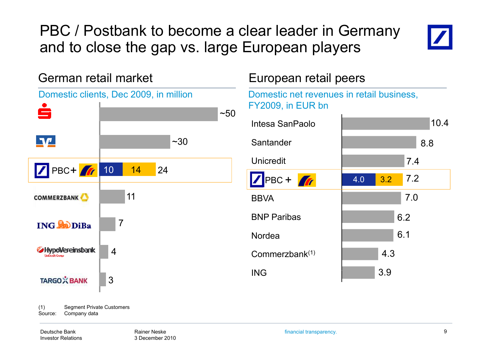PBC / Postbank to become a clear leader in Germany and to close the gap vs. large European players



German retail marketn retail market European retail peers Domestic clients, Dec 2009, in million  $~10^{-5}$  $\P\Psi$  $~1.30$ PBC+ 7 10 14 24 11**COMMERZBANK** 7**ING CODIBa** HypoVereinsbank 4TARGOX BANK 3<br>
(1) Segment Private Customers 3

Domestic net revenues in retail business, FY2009, in EUR bn

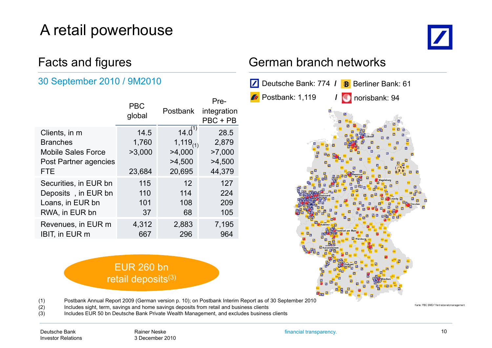## A retail powerhouse

# $\boldsymbol{Z}$

#### 30 September 2010 / 9M2010

|                           | <b>PBC</b><br>global | <b>Postbank</b> | Pre-<br>integration<br>PBC + PB |
|---------------------------|----------------------|-----------------|---------------------------------|
| Clients, in m             | 14.5                 | $14.0^{17}$     | 28.5                            |
| <b>Branches</b>           | 1,760                | $1,119_{(1)}$   | 2,879                           |
| <b>Mobile Sales Force</b> | >3,000               | >4,000          | >7,000                          |
| Post Partner agencies     |                      | >4,500          | >4,500                          |
| <b>FTE</b>                | 23,684               | 20,695          | 44,379                          |
| Securities, in EUR bn     | 115                  | 12              | 127                             |
| Deposits, in EUR bn       | 110                  | 114             | 224                             |
| Loans, in EUR bn          | 101                  | 108             | 209                             |
| RWA, in EUR bn            | 37                   | 68              | 105                             |
| Revenues, in EUR m        | 4,312                | 2,883           | 7,195                           |
| <b>IBIT, in EUR m</b>     | 667                  | 296             | 964                             |

#### EUR 260 bn retail deposits<sup>(3)</sup>

#### Facts and figures **Facts** German branch networks



(1) Postbank Annual Report 2009 (German version p. 10); on Postbank Interim Report as of 30 September 2010

(2) Includes sight, term, savings and home savings deposits from retail and business clients

(3) Includes EUR 50 bn Deutsche Bank Private Wealth Management, and excludes business clients

Karte: PBC BMD / Vertriebsnetzmanagem

Deutsche BankInvestor Relations financial transparency. 10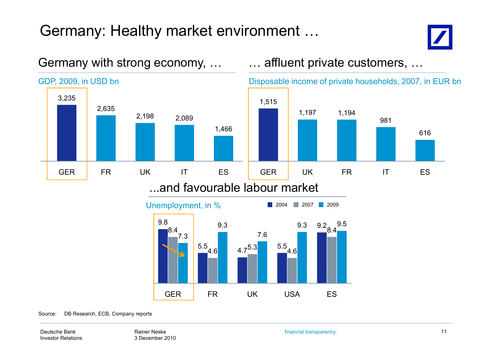## Germany: Healthy market environment …



616



GER FR UK USA ES

#### Germany with strong economy, ... **Ease all many interpret customers, ...**

Source: DB Research, ECB, Company reports

Deutsche BankInvestor Relations

Rainer Neske3 December 2010 financial transparency. 11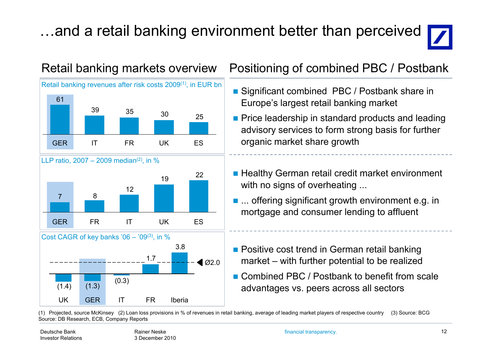## ...and a retail banking environment better than perceived







#### Retail banking markets overview Positioning of combined PBC / Postbank

- Significant combined PBC / Postbank share in Europe's largest retail banking market
- $\frac{1}{2}$   $\frac{1}{25}$  Price leadership in standard products and leading advisory services to form strong basis for further organic market share growth
	- Healthy German retail credit market environment with no signs of overheating ...
	- ... offering significant growth environment e.g. in mortgage and consumer lending to affluent
	- **Positive cost trend in German retail banking** market – with further potential to be realized
	- Combined PBC / Postbank to benefit from scale advantages vs. peers across all sectors

(1) Projected, source McKinsey (2) Loan loss provisions in % of revenues in retail banking, average of leading market players of respective country (3) Source: BCG Source: DB Research, ECB, Company Reports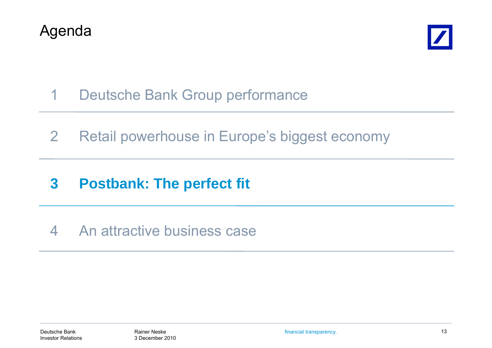



- 1Deutsche Bank Group performance
- 2Retail powerhouse in Europe's biggest economy
- **3Postbank: The perfect fit**
- 4 An attractive business case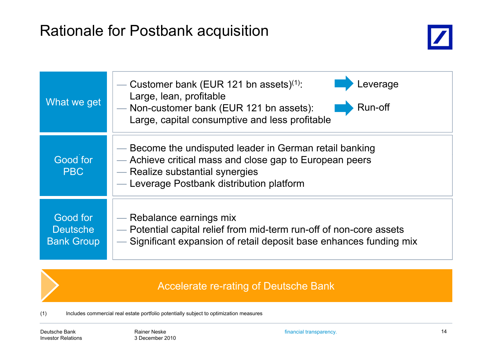## Rationale for Postbank ac quisition



| What we get                                      | everage<br>— Customer bank (EUR 121 bn assets) $(1)$ :<br>Large, lean, profitable<br>Run-off<br>- Non-customer bank (EUR 121 bn assets):<br>Large, capital consumptive and less profitable         |  |
|--------------------------------------------------|----------------------------------------------------------------------------------------------------------------------------------------------------------------------------------------------------|--|
| Good for<br><b>PBC</b>                           | — Become the undisputed leader in German retail banking<br>- Achieve critical mass and close gap to European peers<br>- Realize substantial synergies<br>- Leverage Postbank distribution platform |  |
| Good for<br><b>Deutsche</b><br><b>Bank Group</b> | — Rebalance earnings mix<br>- Potential capital relief from mid-term run-off of non-core assets<br>- Significant expansion of retail deposit base enhances funding mix                             |  |

#### Accelerate re-rating of Deutsche Bank

(1) Includes commercial real estate portfolio potentially subject to optimization measures

Deutsche BankInvestor Relations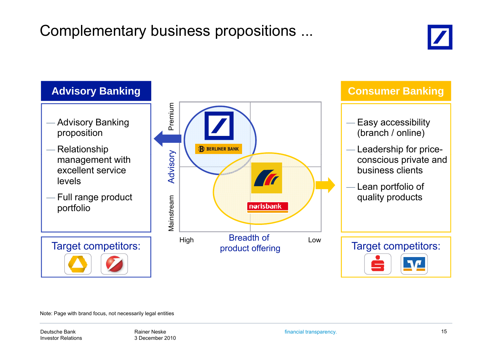## Complementary business propositions ...





Note: Page with brand focus, not necessarily legal entities

Deutsche BankInvestor Relations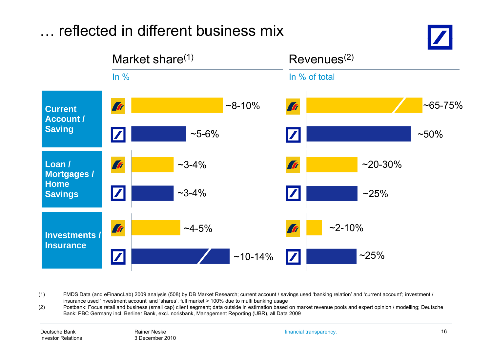

(1) FMDS Data (and eFinancLab) 2009 analysis (508) by DB Market Research; current account / savings used 'banking relation' and 'current account'; investment / insurance used 'investment account' and 'shares', full market > 100% due to multi banking usage

(2) Postbank: Focus retail and business (small cap) client segment; data outside in estimation based on market revenue pools and expert opinion / modelling; Deutsche Bank: PBC Germany incl. Berliner Bank, excl. norisbank, Management Reporting (UBR), all Data 2009

financial transparency. 16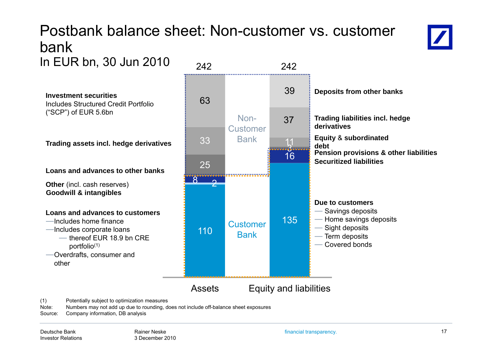#### Postbank balance sheet: Non-customer vs. customer bankIn EUR bn, 30 Jun 2010  $\frac{1}{242}$  242



Includes Structured Credit Portfolio ("SCP") of EUR 5.6bn

**Other** (incl. cash reserves) **Goodwill & intangibles Goodwill**

#### **Loans and advances to customers**

- ―Includes home finance
- - ― thereof EUR 18.9 bn CRE portfolio(1)
- ―Overdrafts, consumer and other



(1) Potentially subject to optimization measures

Note: Numbers may not add up due to rounding, does not include off-balance sheet exposures

Source: Company information, DB analysis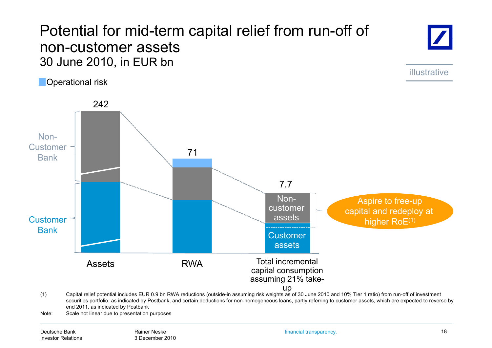#### Potential for mid-term ca pital relief from run-off of non-customer assets30 June 2010, in EUR bn

**Operational risk** 



illustrative



Note: Scale not linear due to presentation purposes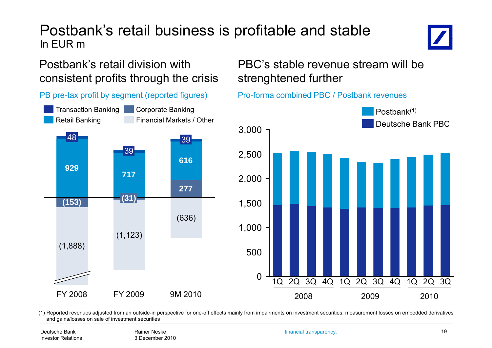#### Postbank's retail business is profitable and stable In EUR m

#### Postbank's retail division with consistent profits through the crisis



#### PBC's stable revenue stream will be strenghtened further



(1) Reported revenues adjusted from an outside-in perspective for one-off effects mainly from impairments on investment securities, measurement losses on embedded derivatives and gains/losses on sale of investment securities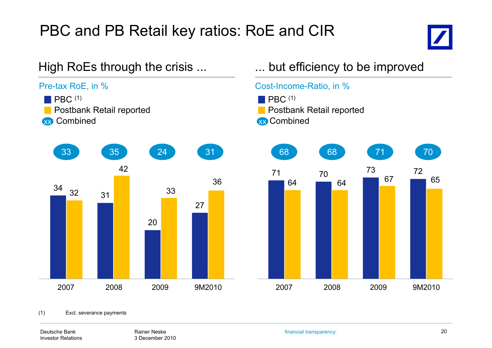## PBC and PB Retail key ratios: RoE and CIR





#### Deutsche BankInvestor Relations

Rainer Neske3 December 2010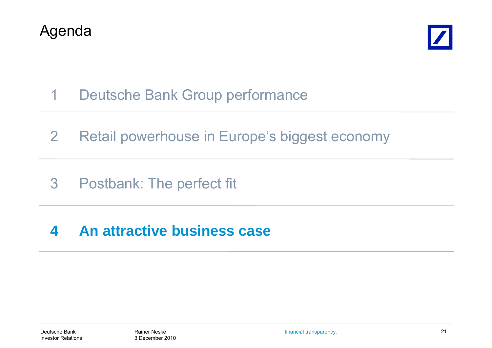



- 1Deutsche Bank Group performance
- 2Retail powerhouse in Europe's biggest economy
- 3 Postbank: The perfect fit

#### **4An attractive business case attractive**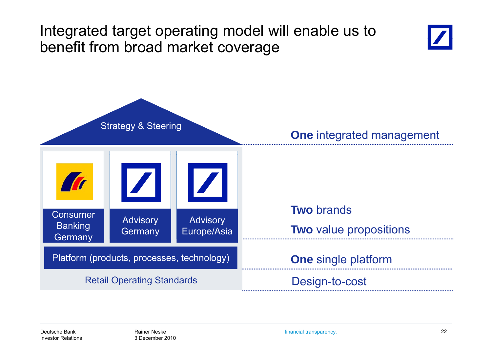## Integrated target operating model will enable us to benefit from broad market coverage





financial transparency. 22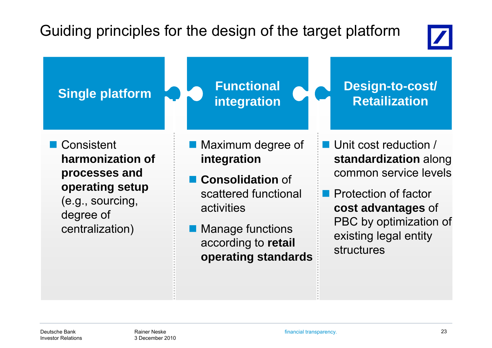## Guiding principles for the design of the target platform



**Single platform**  $\begin{array}{c} \begin{array}{c} \end{array}$  **Functional**  $\begin{array}{c} \end{array}$  **Design-to-cost/**<br> **Design-to-cost/**<br> **Retailization**  Consistent **h ii fharmonization of** Maximum degree of **i i integration** ■ Unit cost reduction / **d di i** l **standardization** along **processes and operating setup Consolidation** of scattered functionalcommon service levels**operating setup**<br>(e.g., sourcing, early discussed functional Department of factor) degree of centralization) activities Manage functions **cost advantages** of PBC by optimization of according to **retail** existing legal entity

**operating standards**

structures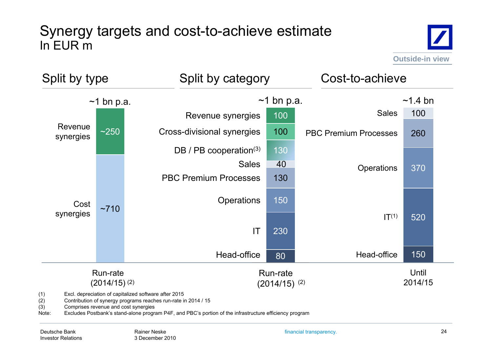#### Synergy targets and cost-to-achieve estimate In EUR m





(1) Excl. depreciation of capitalized software after 2015

Contribution of synergy programs reaches run-rate in 2014 / 15

(3) Comprises revenue and cost synergies

Note: Excludes Postbank's stand-alone program P4F, and PBC's portion of the infrastructure efficiency program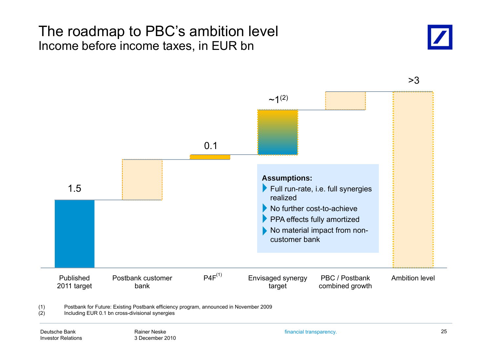#### The roadmap to PBC's ambition level Income before income taxes, in EUR bn





3>

(1) Postbank for Future: Existing Postbank efficiency program, announced in November 2009

(2) Including EUR 0.1 bn cross-divisional synergies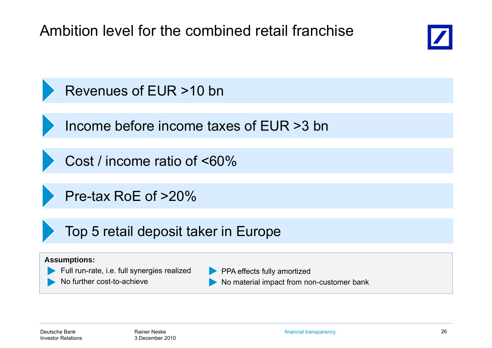Ambition level for the combined retail franchise





Income before income taxes of EUR >3 bn

Cost / income ratio of <60%

Pre-tax RoE of >20%

Top 5 retail deposit taker in Europe

#### **Assumptions:**

- Full run-rate, i.e. full synergies realized **rate, i.e. PPA** effects fully amortized
	- No further cost-to-achieve
- PPA effects fully amortized
	- No material impact from non-customer bank